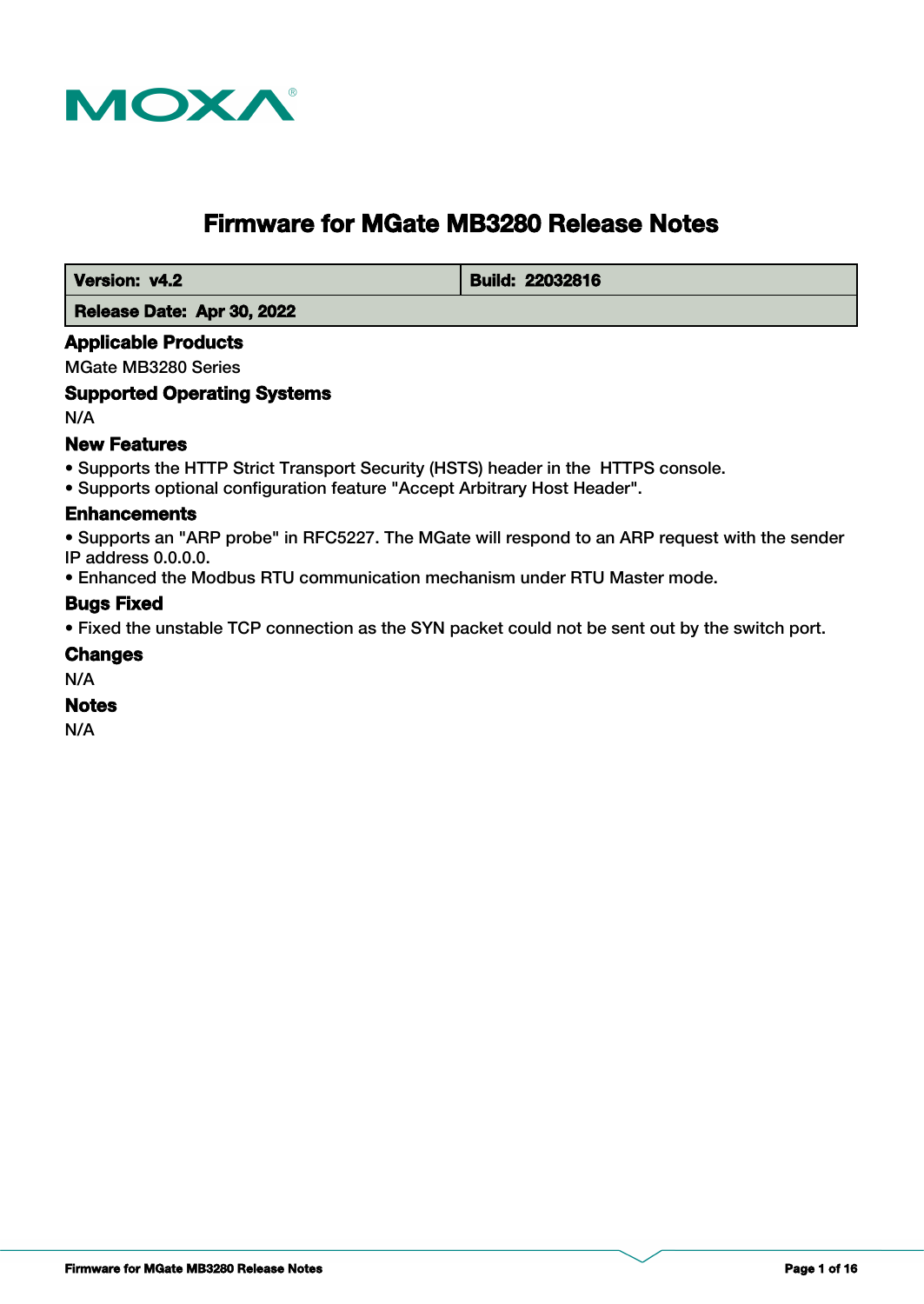

# **Firmware for MGate MB3280 Release Notes**

**Version: v4.2 Build: 22032816** 

 **Release Date: Apr 30, 2022**

### **Applicable Products**

MGate MB3280 Series

### **Supported Operating Systems**

N/A

### **New Features**

- Supports the HTTP Strict Transport Security (HSTS) header in the HTTPS console.
- Supports optional configuration feature "Accept Arbitrary Host Header".

#### **Enhancements**

• Supports an "ARP probe" in RFC5227. The MGate will respond to an ARP request with the sender IP address 0.0.0.0.

• Enhanced the Modbus RTU communication mechanism under RTU Master mode.

### **Bugs Fixed**

• Fixed the unstable TCP connection as the SYN packet could not be sent out by the switch port.

#### **Changes**

N/A

#### **Notes**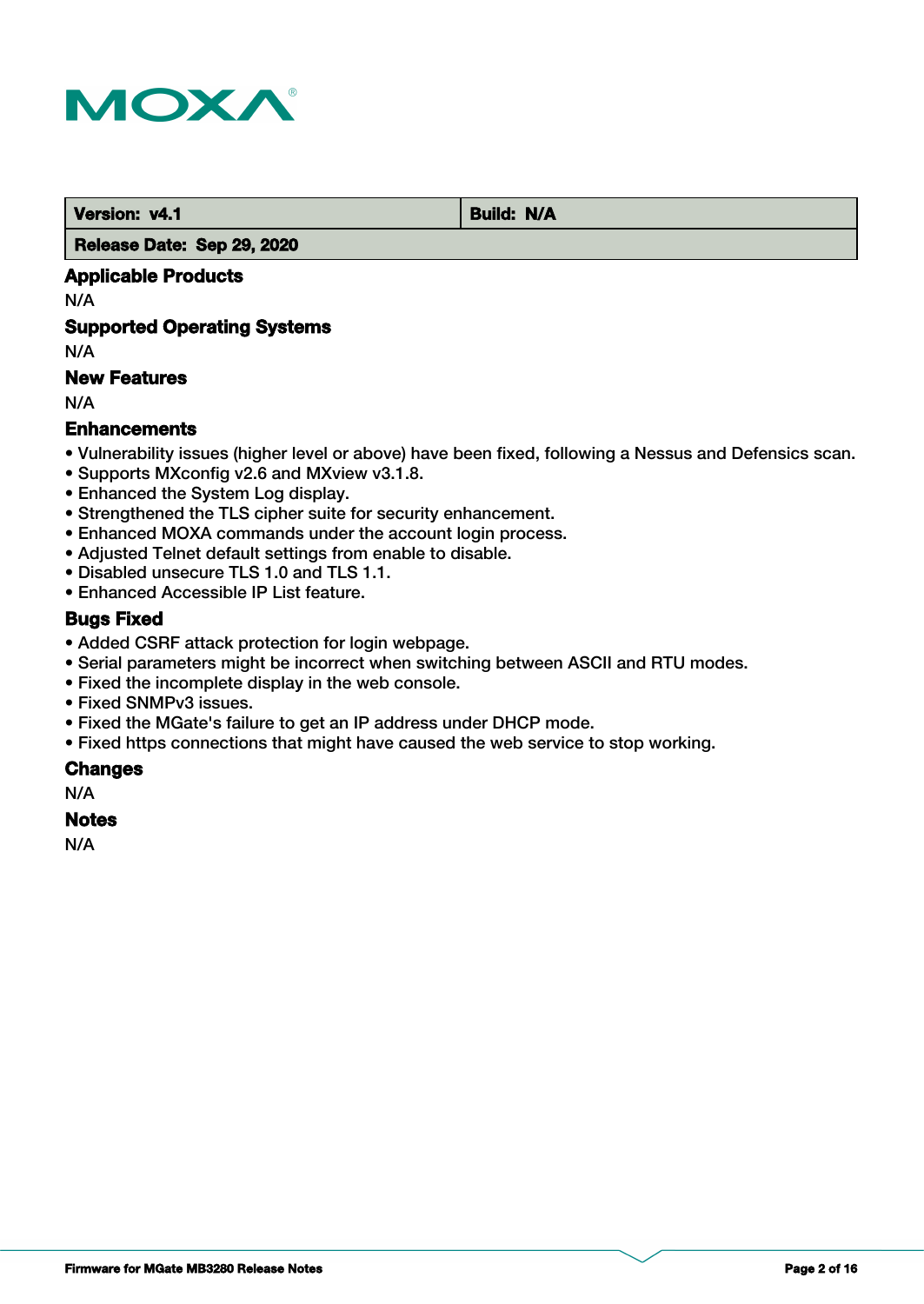

 **Version: v4.1 Build: N/A** 

 **Release Date: Sep 29, 2020**

# **Applicable Products**

N/A

# **Supported Operating Systems**

N/A

# **New Features**

N/A

# **Enhancements**

- Vulnerability issues (higher level or above) have been fixed, following a Nessus and Defensics scan.
- Supports MXconfig v2.6 and MXview v3.1.8.
- Enhanced the System Log display.
- Strengthened the TLS cipher suite for security enhancement.
- Enhanced MOXA commands under the account login process.
- Adjusted Telnet default settings from enable to disable.
- Disabled unsecure TLS 1.0 and TLS 1.1.
- Enhanced Accessible IP List feature.

### **Bugs Fixed**

- Added CSRF attack protection for login webpage.
- Serial parameters might be incorrect when switching between ASCII and RTU modes.
- Fixed the incomplete display in the web console.
- Fixed SNMPv3 issues.
- Fixed the MGate's failure to get an IP address under DHCP mode.
- Fixed https connections that might have caused the web service to stop working.

#### **Changes**

N/A

#### **Notes**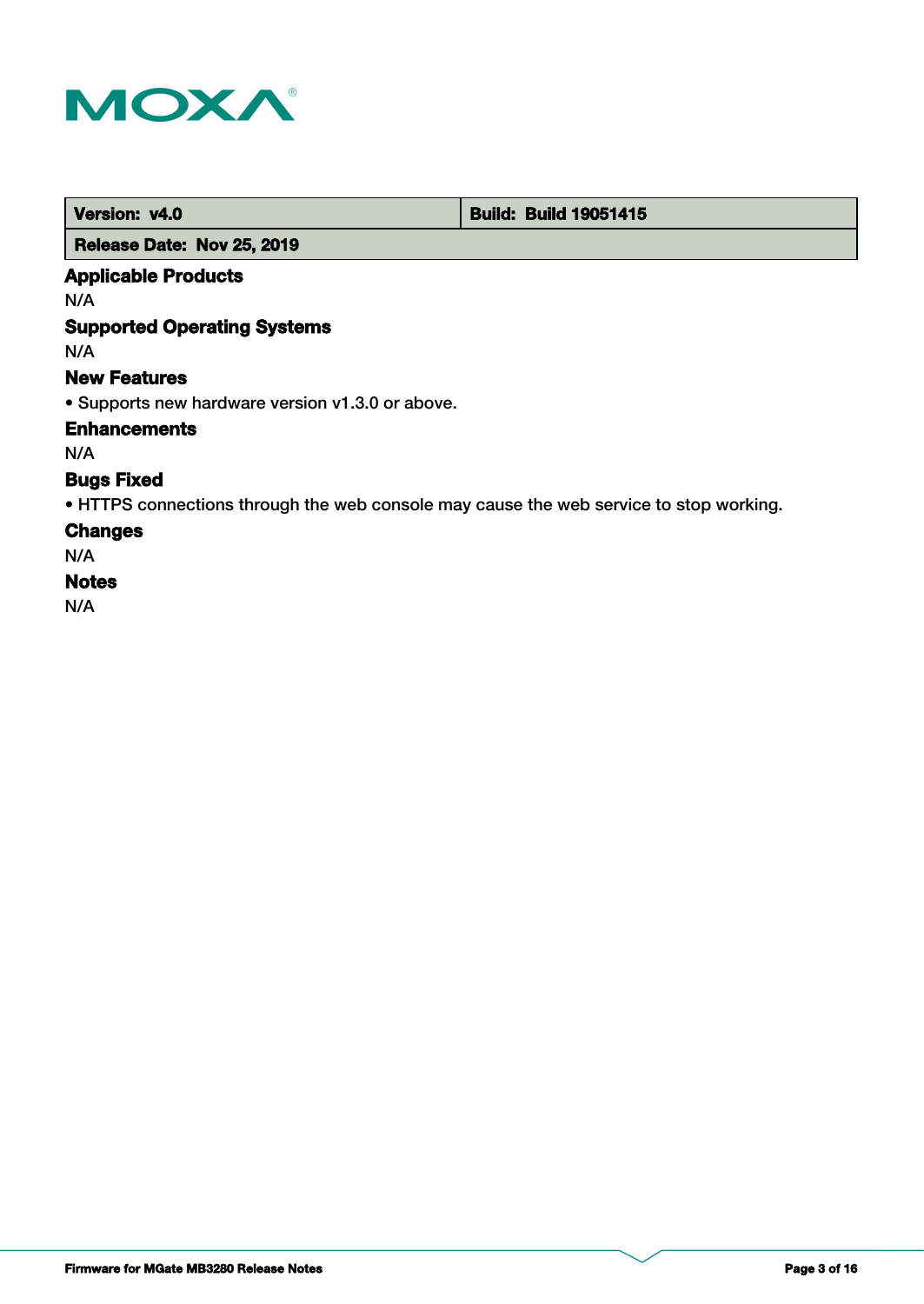

 **Version: v4.0 Build: Build: Build 19051415** 

# **Release Date: Nov 25, 2019**

# **Applicable Products**

N/A

# **Supported Operating Systems**

N/A

#### **New Features**

• Supports new hardware version v1.3.0 or above.

**Enhancements**

N/A

# **Bugs Fixed**

• HTTPS connections through the web console may cause the web service to stop working.

### **Changes**

N/A

# **Notes**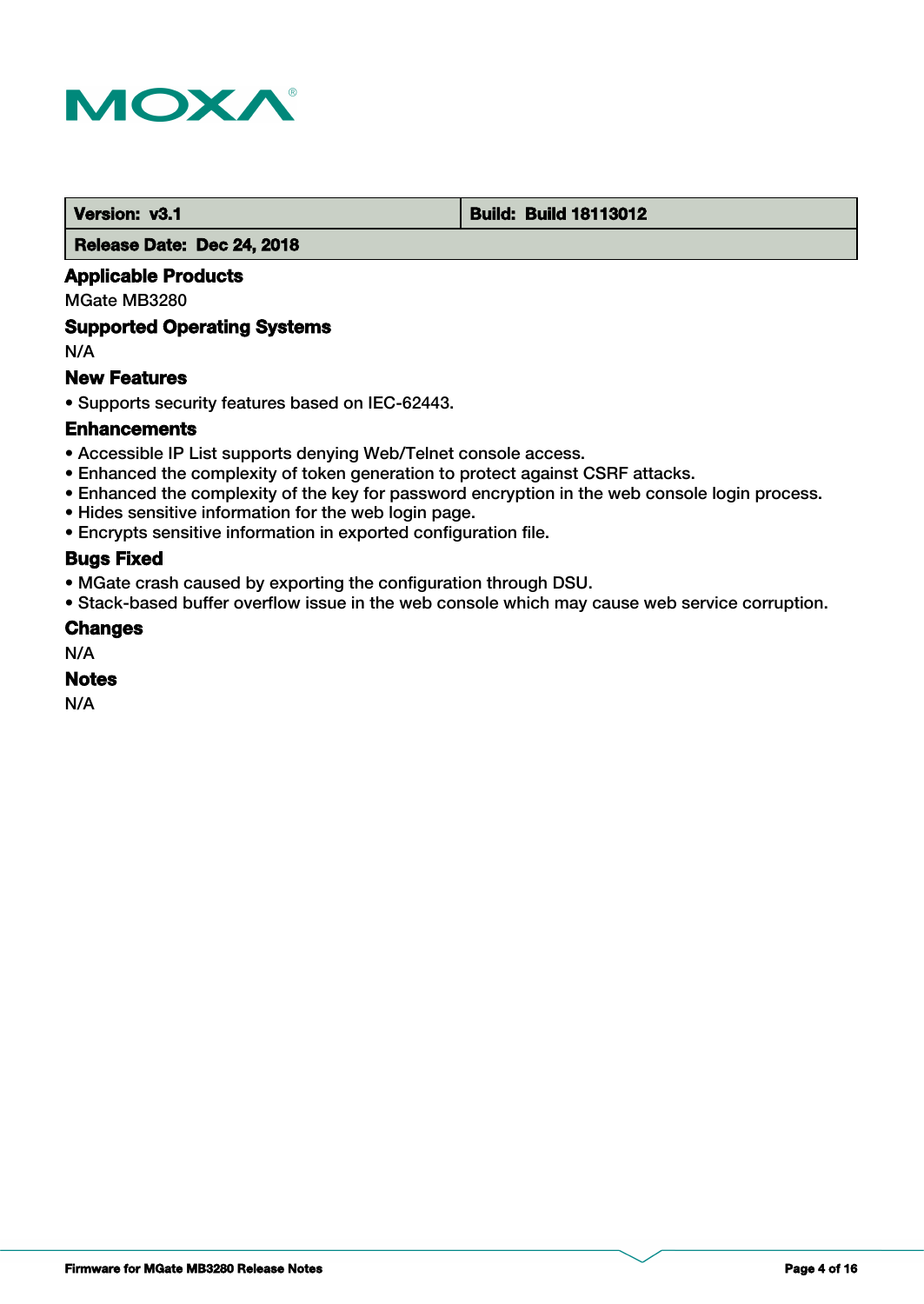

#### **Version: v3.1 Build: Build: Build 18113012**

 **Release Date: Dec 24, 2018**

### **Applicable Products**

MGate MB3280

#### **Supported Operating Systems**

N/A

### **New Features**

• Supports security features based on IEC-62443.

#### **Enhancements**

- Accessible IP List supports denying Web/Telnet console access.
- Enhanced the complexity of token generation to protect against CSRF attacks.
- Enhanced the complexity of the key for password encryption in the web console login process.
- Hides sensitive information for the web login page.
- Encrypts sensitive information in exported configuration file.

# **Bugs Fixed**

- MGate crash caused by exporting the configuration through DSU.
- Stack-based buffer overflow issue in the web console which may cause web service corruption.

#### **Changes**

N/A

### **Notes**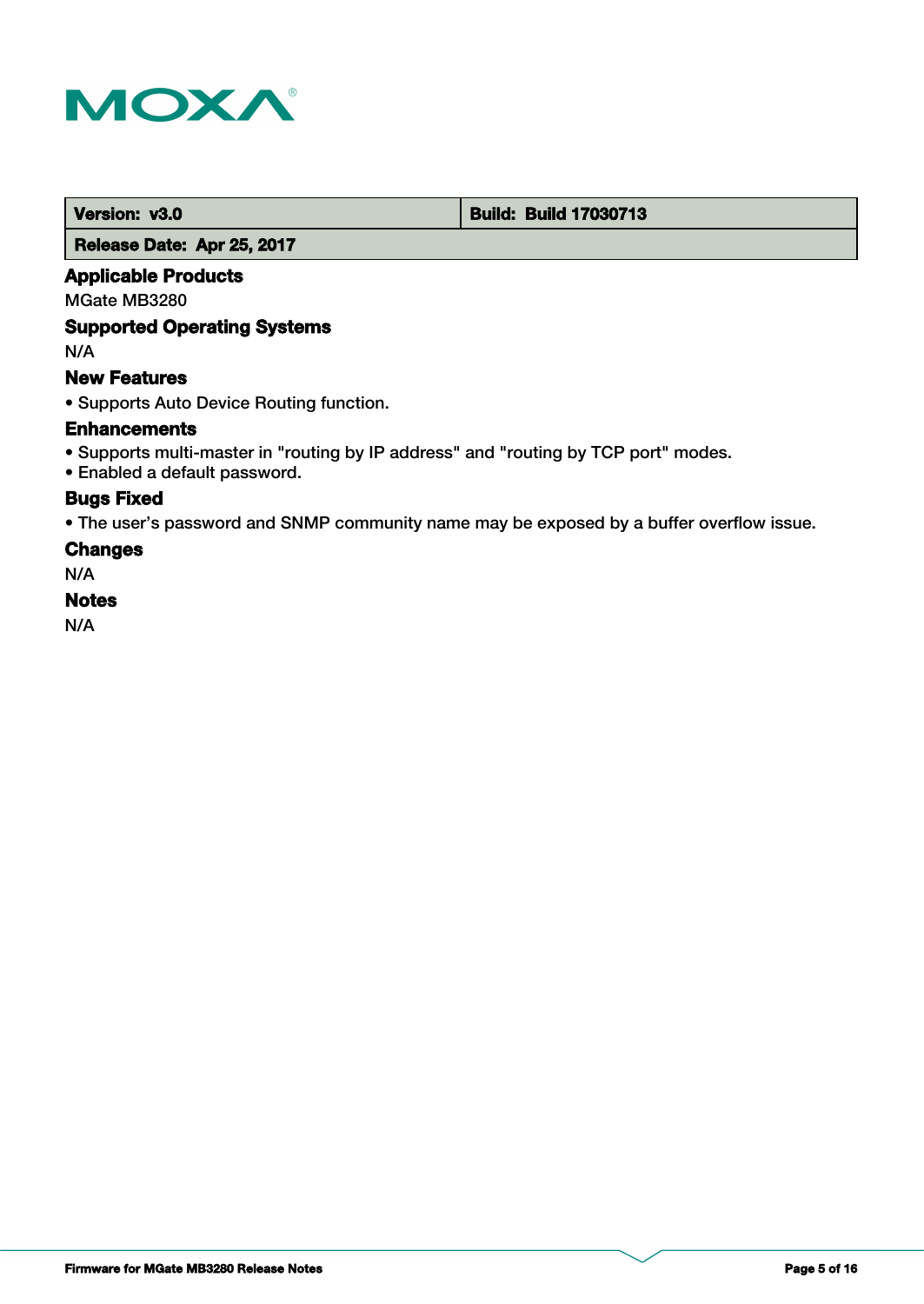

 **Version: v3.0 Build: Build: Build 17030713** 

 **Release Date: Apr 25, 2017**

### **Applicable Products**

MGate MB3280

### **Supported Operating Systems**

N/A

# **New Features**

• Supports Auto Device Routing function.

### **Enhancements**

- Supports multi-master in "routing by IP address" and "routing by TCP port" modes.
- Enabled a default password.

# **Bugs Fixed**

• The user's password and SNMP community name may be exposed by a buffer overflow issue.

### **Changes**

N/A

#### **Notes**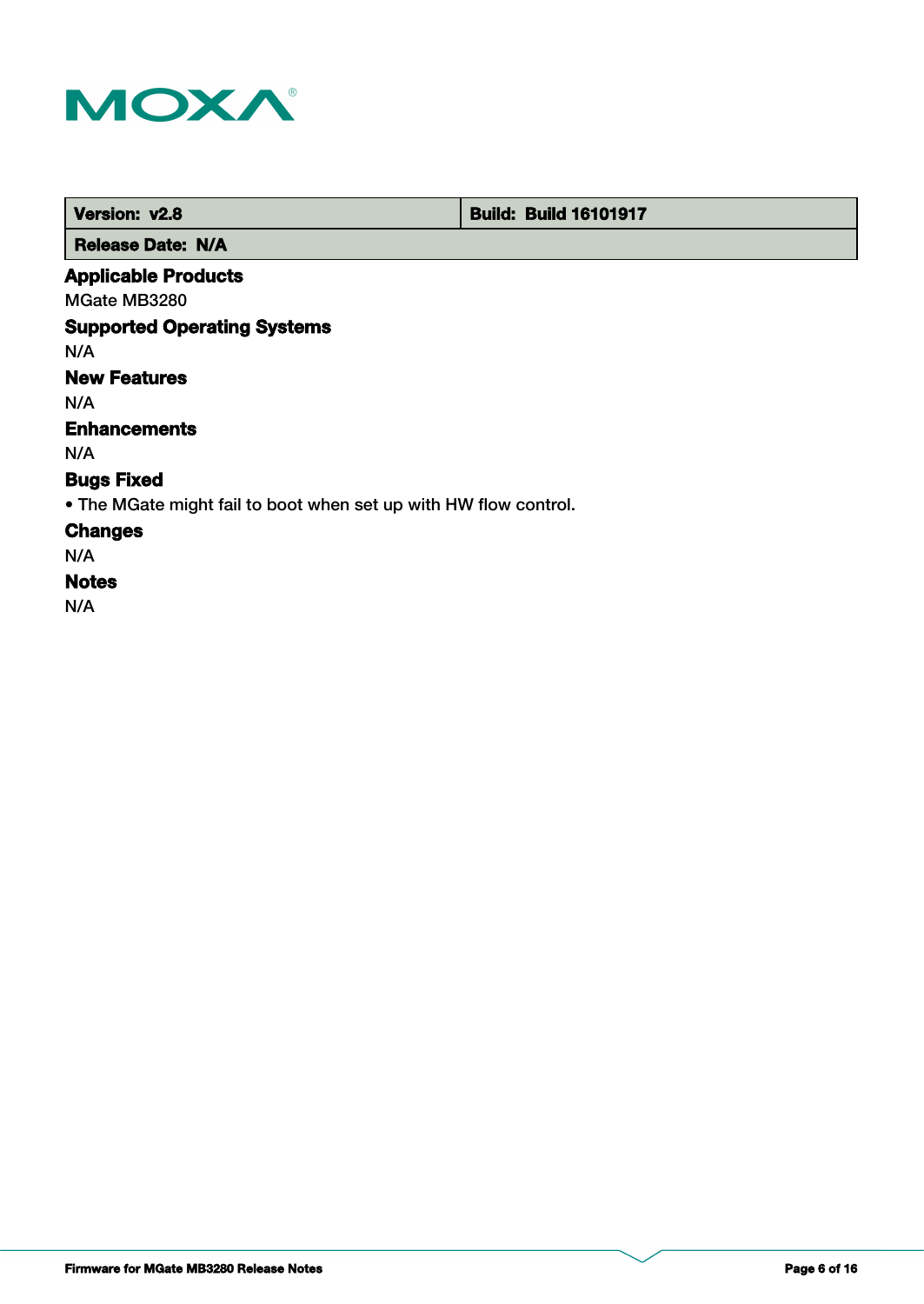

 **Version: v2.8 Build: Build: Build 16101917** 

 **Release Date: N/A**

# **Applicable Products**

MGate MB3280

# **Supported Operating Systems**

N/A

# **New Features**

N/A

# **Enhancements**

N/A

# **Bugs Fixed**

• The MGate might fail to boot when set up with HW flow control.

# **Changes**

N/A

# **Notes**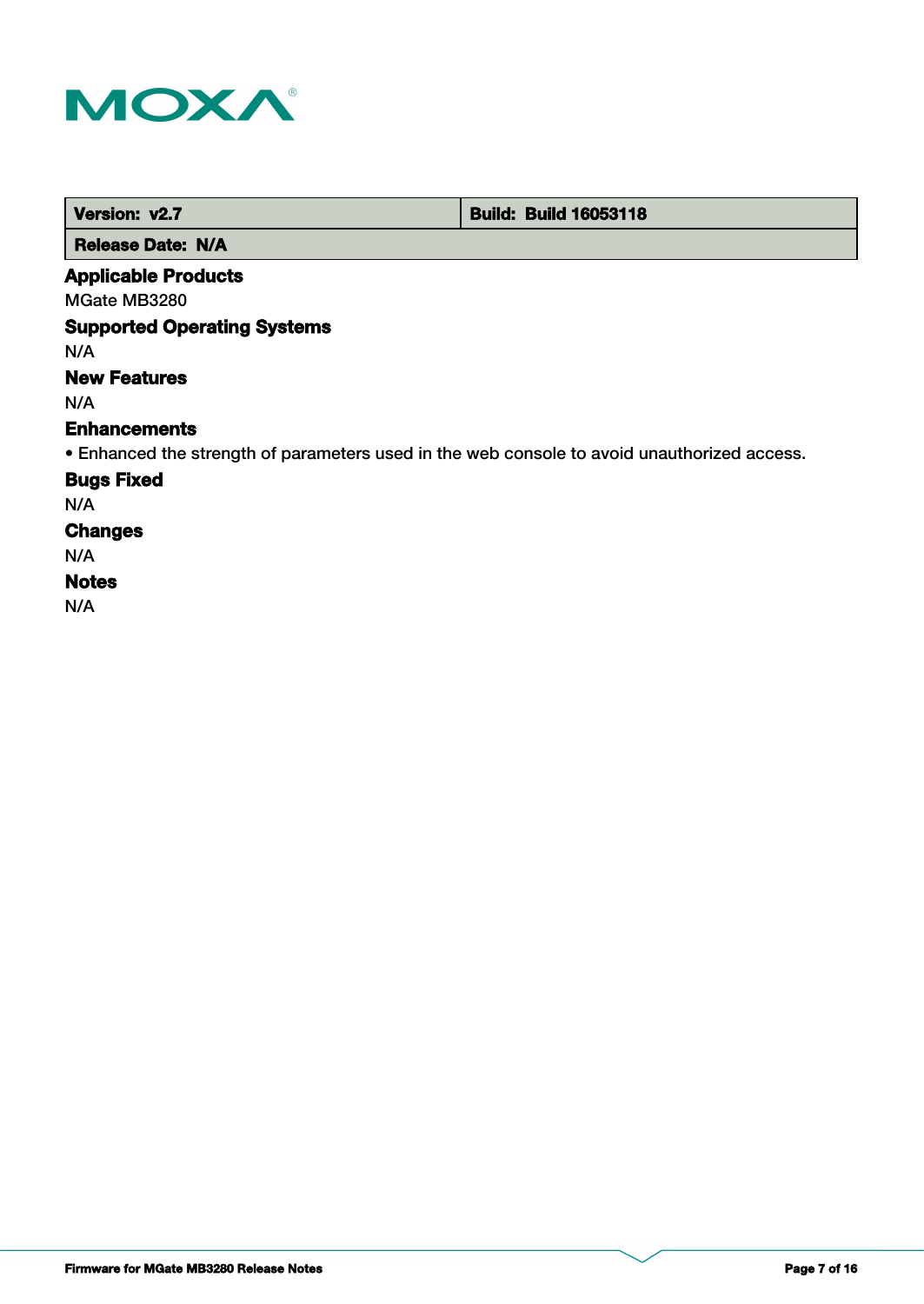

| Version: v2.7 | <b>Build: Build 16053118</b> |
|---------------|------------------------------|
|               |                              |

 **Release Date: N/A**

# **Applicable Products**

MGate MB3280

# **Supported Operating Systems**

N/A

# **New Features**

N/A

#### **Enhancements**

• Enhanced the strength of parameters used in the web console to avoid unauthorized access.

### **Bugs Fixed**

N/A

# **Changes**

N/A

## **Notes**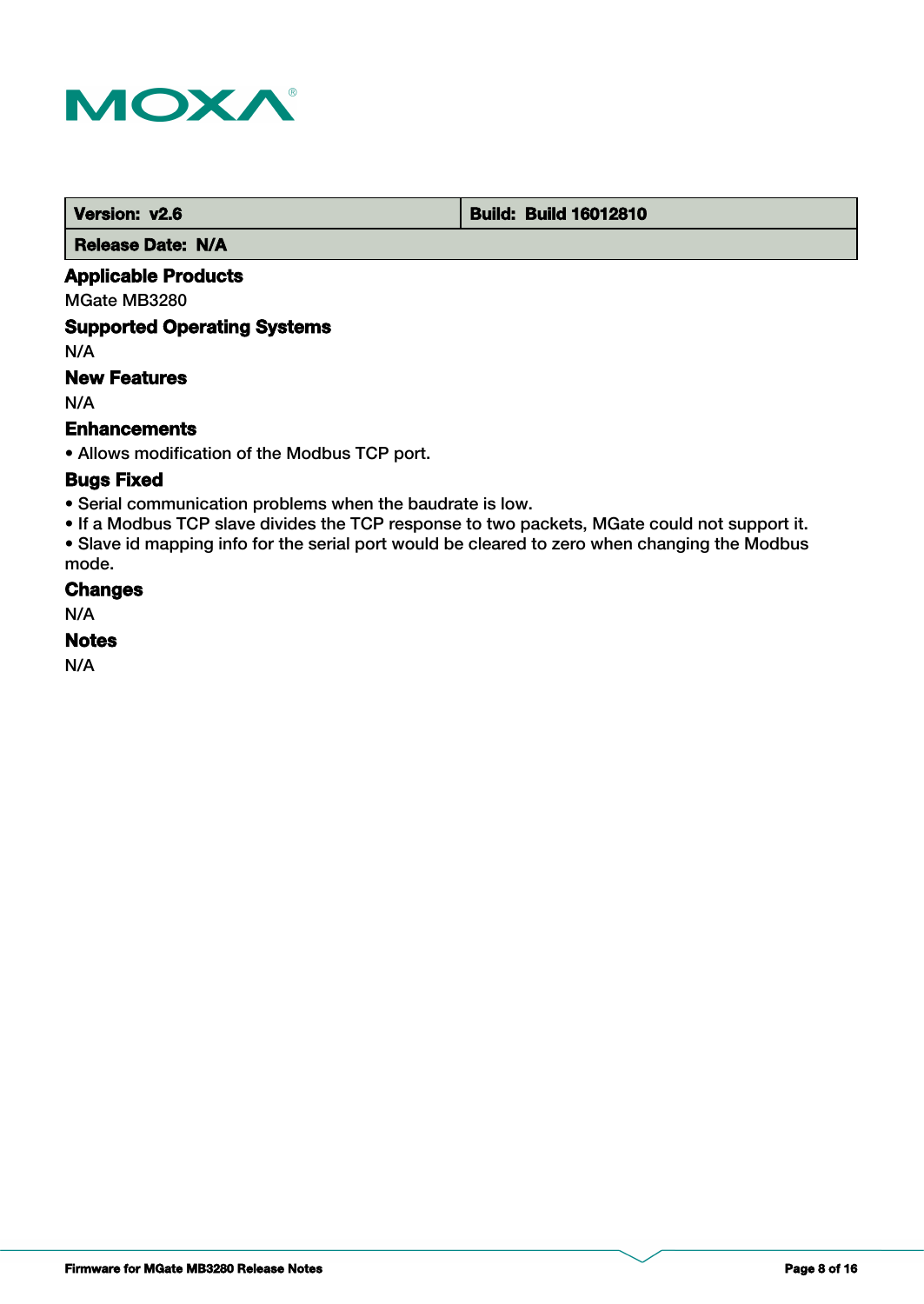

 **Version: v2.6 Build: Build: Build 16012810** 

 **Release Date: N/A**

# **Applicable Products**

MGate MB3280

# **Supported Operating Systems**

N/A

# **New Features**

N/A

# **Enhancements**

• Allows modification of the Modbus TCP port.

# **Bugs Fixed**

• Serial communication problems when the baudrate is low.

• If a Modbus TCP slave divides the TCP response to two packets, MGate could not support it. • Slave id mapping info for the serial port would be cleared to zero when changing the Modbus mode.

#### **Changes**

N/A

### **Notes**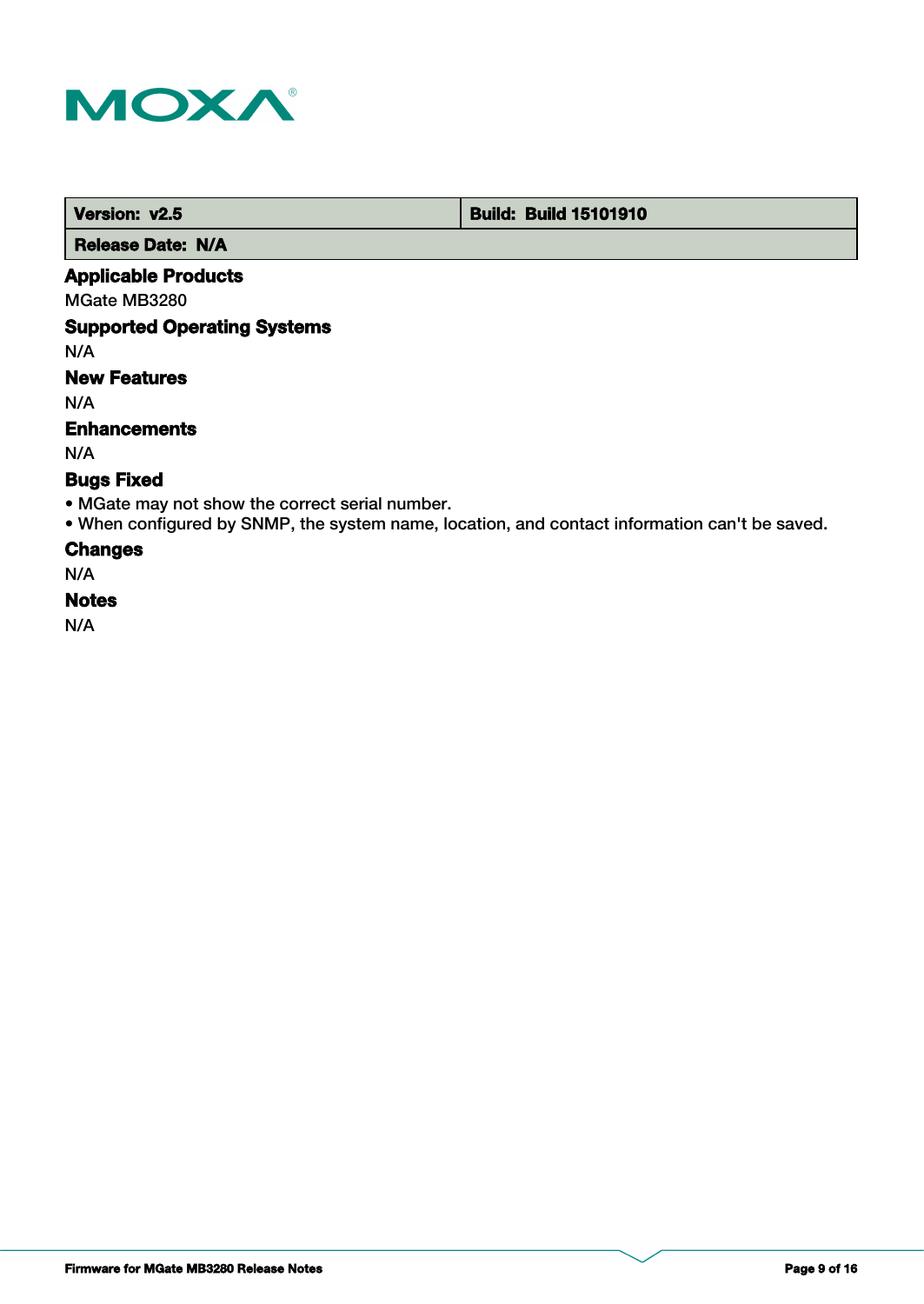

 **Version: v2.5 Build: Build: Build 15101910** 

 **Release Date: N/A**

# **Applicable Products**

MGate MB3280

# **Supported Operating Systems**

N/A

# **New Features**

N/A

### **Enhancements**

N/A

# **Bugs Fixed**

- MGate may not show the correct serial number.
- When configured by SNMP, the system name, location, and contact information can't be saved.

#### **Changes**

N/A

#### **Notes**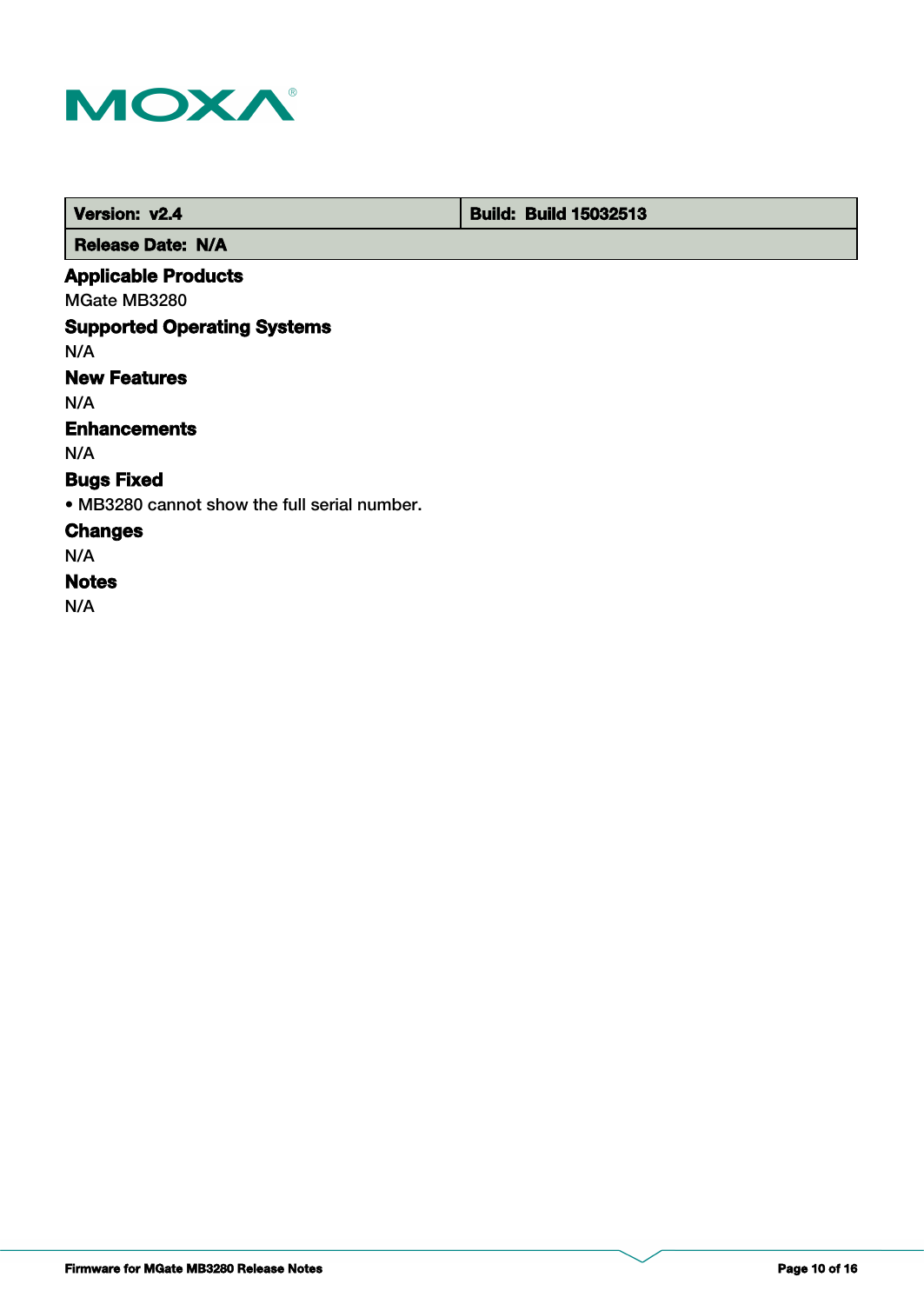

 **Version: v2.4 Build: Build: Build 15032513** 

 **Release Date: N/A**

# **Applicable Products**

MGate MB3280

# **Supported Operating Systems**

N/A

# **New Features**

N/A

# **Enhancements**

N/A

# **Bugs Fixed**

• MB3280 cannot show the full serial number.

# **Changes**

N/A

# **Notes**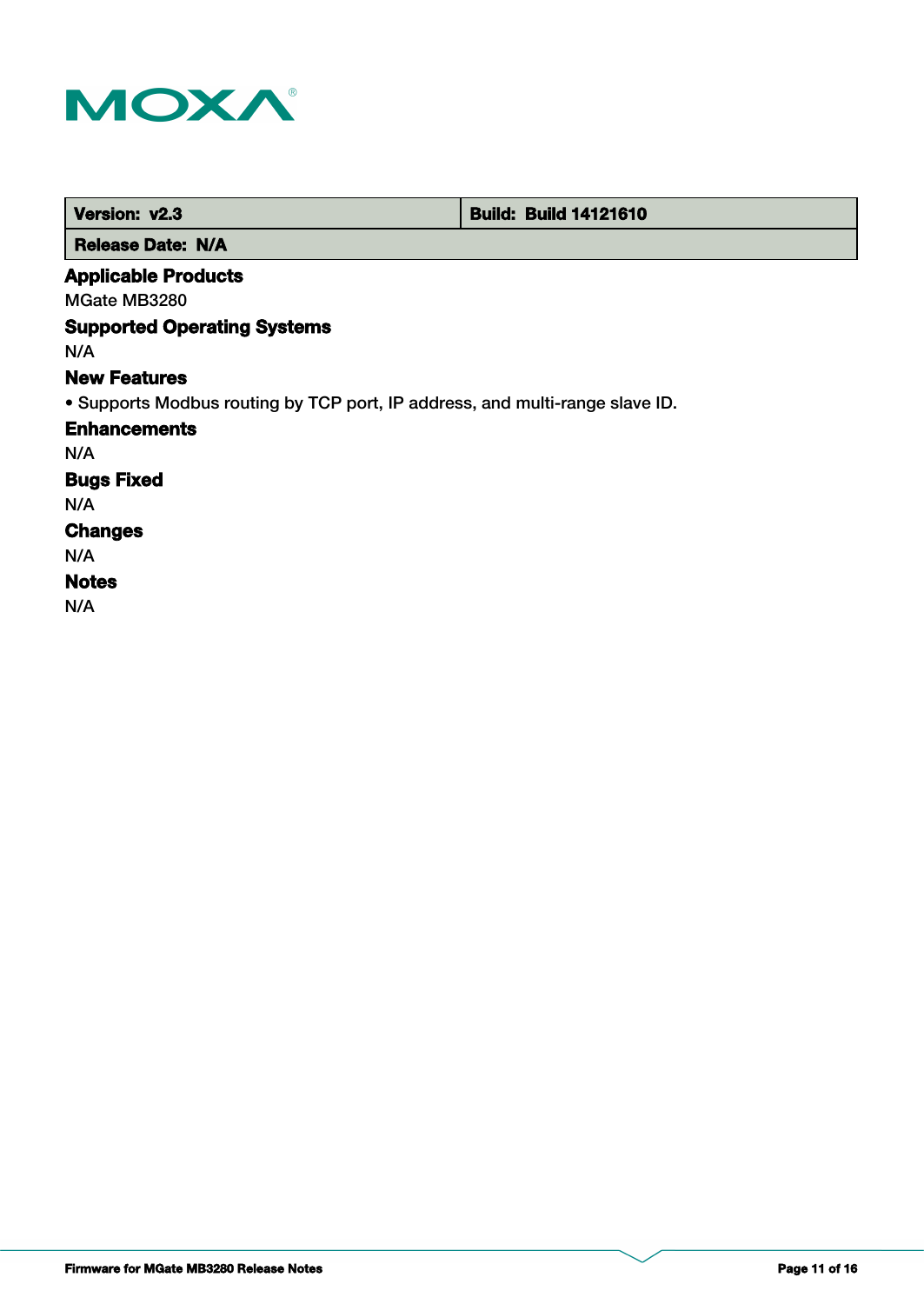

| Version: v2.3                      | <b>Build: Build 14121610</b>                                                 |  |
|------------------------------------|------------------------------------------------------------------------------|--|
| <b>Release Date: N/A</b>           |                                                                              |  |
| <b>Applicable Products</b>         |                                                                              |  |
| MGate MB3280                       |                                                                              |  |
| <b>Supported Operating Systems</b> |                                                                              |  |
| N/A                                |                                                                              |  |
| <b>New Features</b>                |                                                                              |  |
|                                    | . Supports Modbus routing by TCP port, IP address, and multi-range slave ID. |  |
| <b>Enhancements</b>                |                                                                              |  |
| N/A                                |                                                                              |  |
| <b>Bugs Fixed</b>                  |                                                                              |  |
| N/A                                |                                                                              |  |
| <b>Changes</b>                     |                                                                              |  |
| N/A                                |                                                                              |  |
| <b>Notes</b>                       |                                                                              |  |
| N/A                                |                                                                              |  |

**Firmware for MGate MB3280 Release Notes Page 11 of 16**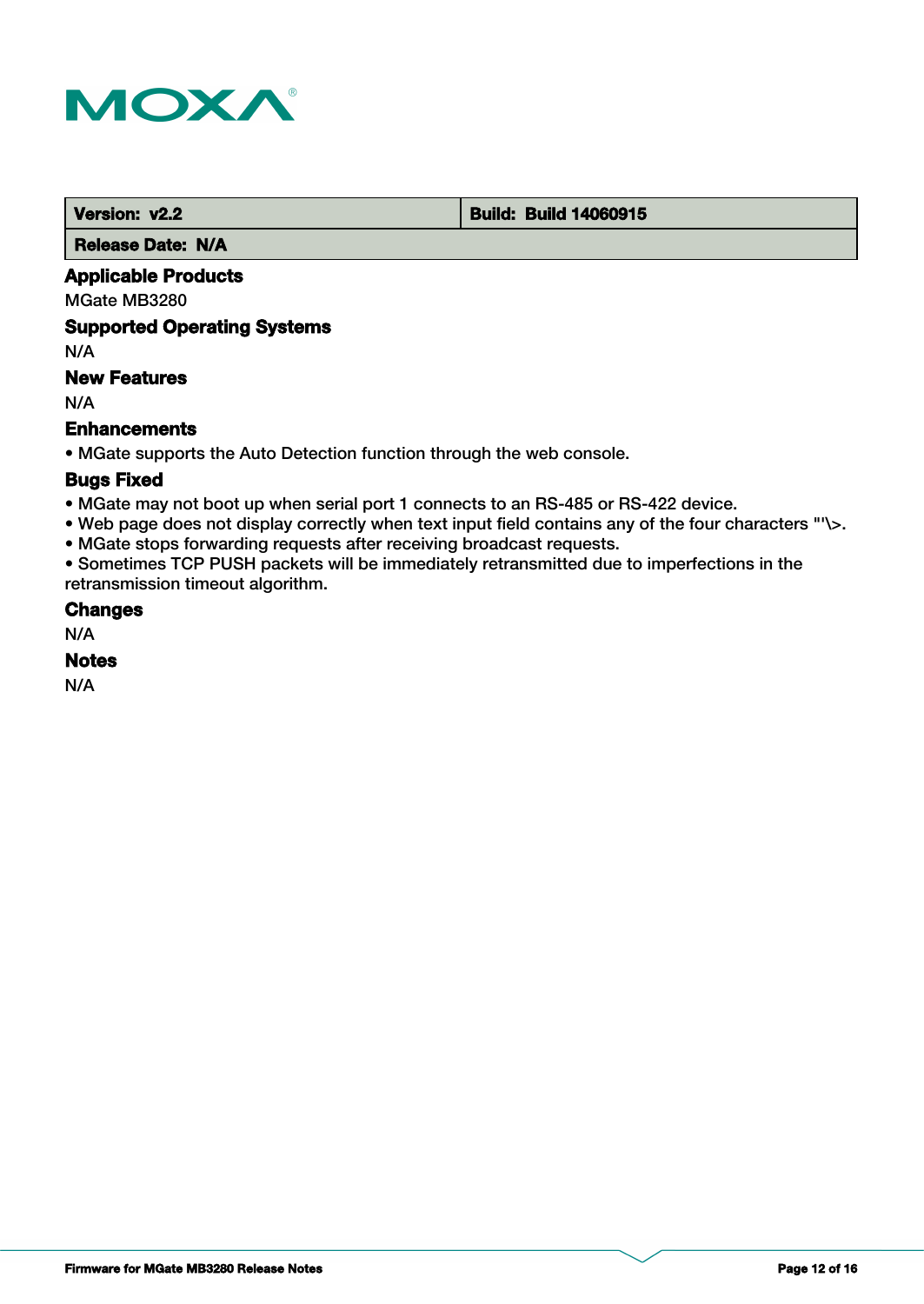

**Version: v2.2 Build: Build: Build 14060915** 

 **Release Date: N/A**

# **Applicable Products**

MGate MB3280

# **Supported Operating Systems**

N/A

# **New Features**

N/A

### **Enhancements**

• MGate supports the Auto Detection function through the web console.

### **Bugs Fixed**

- MGate may not boot up when serial port 1 connects to an RS-485 or RS-422 device.
- Web page does not display correctly when text input field contains any of the four characters "'\>.
- MGate stops forwarding requests after receiving broadcast requests.

• Sometimes TCP PUSH packets will be immediately retransmitted due to imperfections in the retransmission timeout algorithm.

### **Changes**

N/A

### **Notes**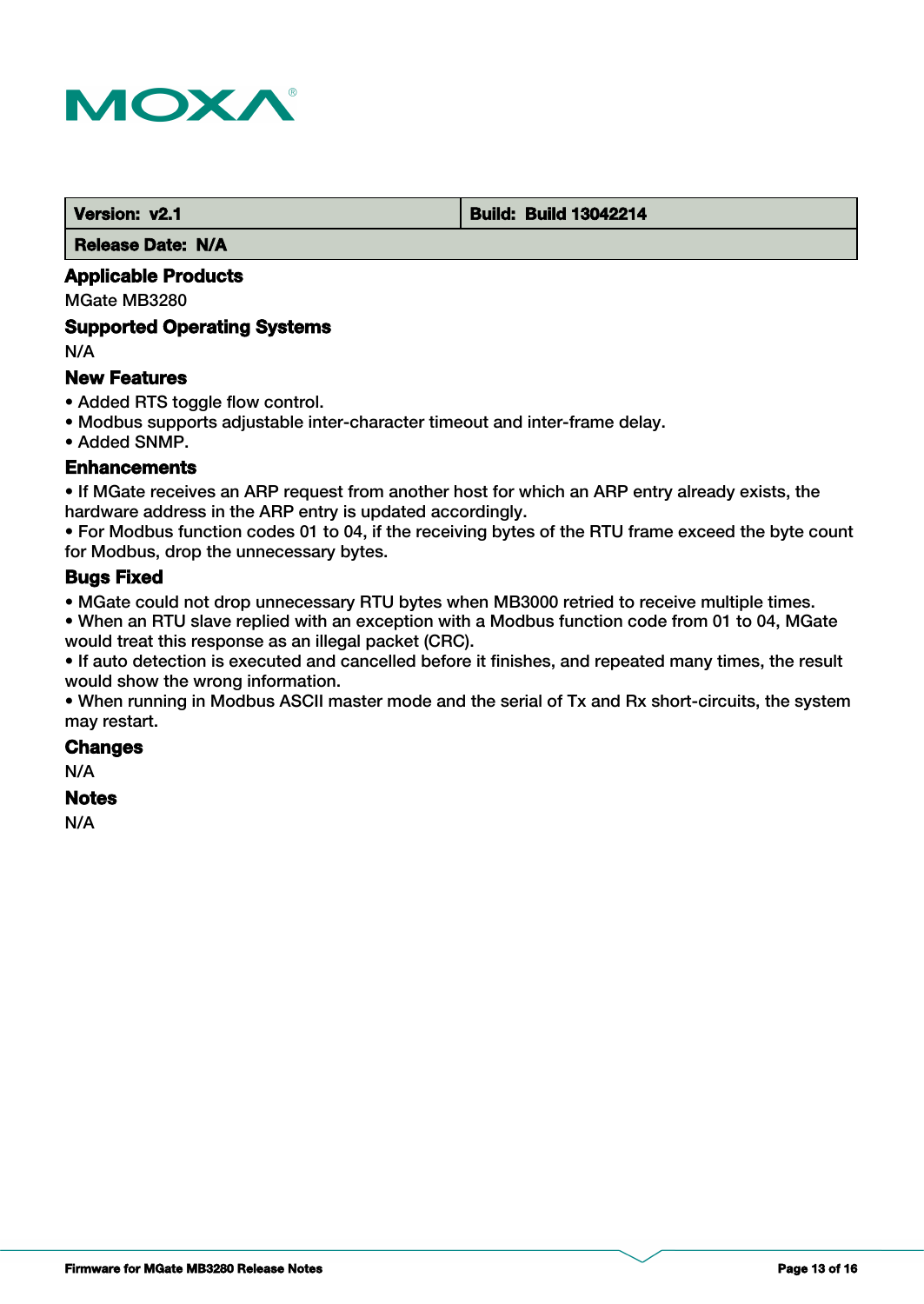

#### **Version: v2.1 Build: Build: Build 13042214**

 **Release Date: N/A**

# **Applicable Products**

MGate MB3280

#### **Supported Operating Systems**

N/A

### **New Features**

- Added RTS toggle flow control.
- Modbus supports adjustable inter-character timeout and inter-frame delay.
- Added SNMP.

#### **Enhancements**

• If MGate receives an ARP request from another host for which an ARP entry already exists, the hardware address in the ARP entry is updated accordingly.

• For Modbus function codes 01 to 04, if the receiving bytes of the RTU frame exceed the byte count for Modbus, drop the unnecessary bytes.

# **Bugs Fixed**

• MGate could not drop unnecessary RTU bytes when MB3000 retried to receive multiple times.

• When an RTU slave replied with an exception with a Modbus function code from 01 to 04, MGate would treat this response as an illegal packet (CRC).

• If auto detection is executed and cancelled before it finishes, and repeated many times, the result would show the wrong information.

• When running in Modbus ASCII master mode and the serial of Tx and Rx short-circuits, the system may restart.

# **Changes**

N/A

# **Notes**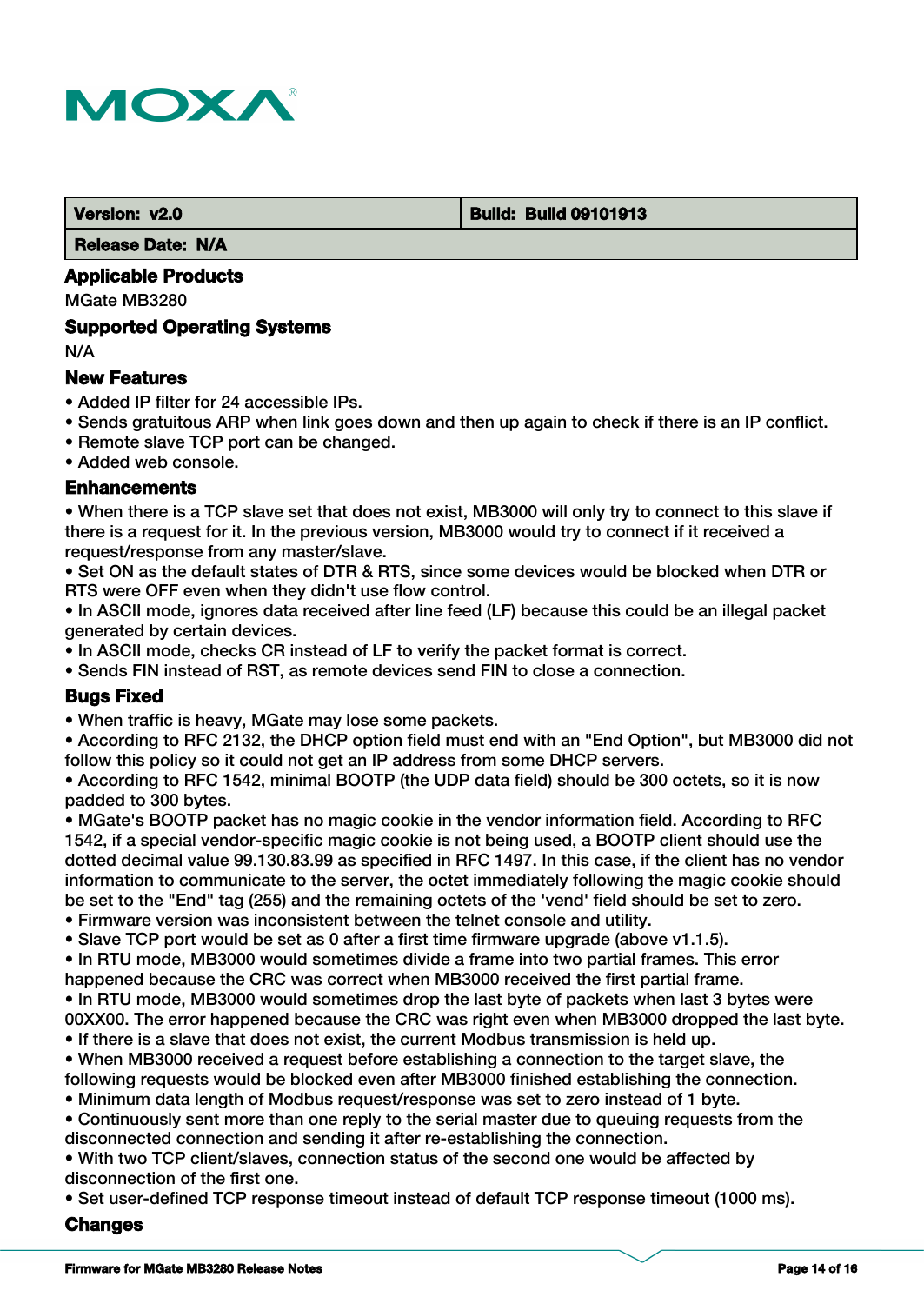

#### **Version: v2.0 Build: Build 09101913**

 **Release Date: N/A**

# **Applicable Products**

MGate MB3280

#### **Supported Operating Systems**

N/A

### **New Features**

- Added IP filter for 24 accessible IPs.
- Sends gratuitous ARP when link goes down and then up again to check if there is an IP conflict.
- Remote slave TCP port can be changed.

• Added web console.

#### **Enhancements**

• When there is a TCP slave set that does not exist, MB3000 will only try to connect to this slave if there is a request for it. In the previous version, MB3000 would try to connect if it received a request/response from any master/slave.

• Set ON as the default states of DTR & RTS, since some devices would be blocked when DTR or RTS were OFF even when they didn't use flow control.

• In ASCII mode, ignores data received after line feed (LF) because this could be an illegal packet generated by certain devices.

• In ASCII mode, checks CR instead of LF to verify the packet format is correct.

• Sends FIN instead of RST, as remote devices send FIN to close a connection.

# **Bugs Fixed**

• When traffic is heavy, MGate may lose some packets.

• According to RFC 2132, the DHCP option field must end with an "End Option", but MB3000 did not follow this policy so it could not get an IP address from some DHCP servers.

• According to RFC 1542, minimal BOOTP (the UDP data field) should be 300 octets, so it is now padded to 300 bytes.

• MGate's BOOTP packet has no magic cookie in the vendor information field. According to RFC 1542, if a special vendor-specific magic cookie is not being used, a BOOTP client should use the dotted decimal value 99.130.83.99 as specified in RFC 1497. In this case, if the client has no vendor information to communicate to the server, the octet immediately following the magic cookie should be set to the "End" tag (255) and the remaining octets of the 'vend' field should be set to zero.

- Firmware version was inconsistent between the telnet console and utility.
- Slave TCP port would be set as 0 after a first time firmware upgrade (above v1.1.5).
- In RTU mode, MB3000 would sometimes divide a frame into two partial frames. This error happened because the CRC was correct when MB3000 received the first partial frame.

• In RTU mode, MB3000 would sometimes drop the last byte of packets when last 3 bytes were 00XX00. The error happened because the CRC was right even when MB3000 dropped the last byte.

• If there is a slave that does not exist, the current Modbus transmission is held up.

• When MB3000 received a request before establishing a connection to the target slave, the following requests would be blocked even after MB3000 finished establishing the connection.

• Minimum data length of Modbus request/response was set to zero instead of 1 byte.

• Continuously sent more than one reply to the serial master due to queuing requests from the disconnected connection and sending it after re-establishing the connection.

• With two TCP client/slaves, connection status of the second one would be affected by disconnection of the first one.

• Set user-defined TCP response timeout instead of default TCP response timeout (1000 ms).

#### **Changes**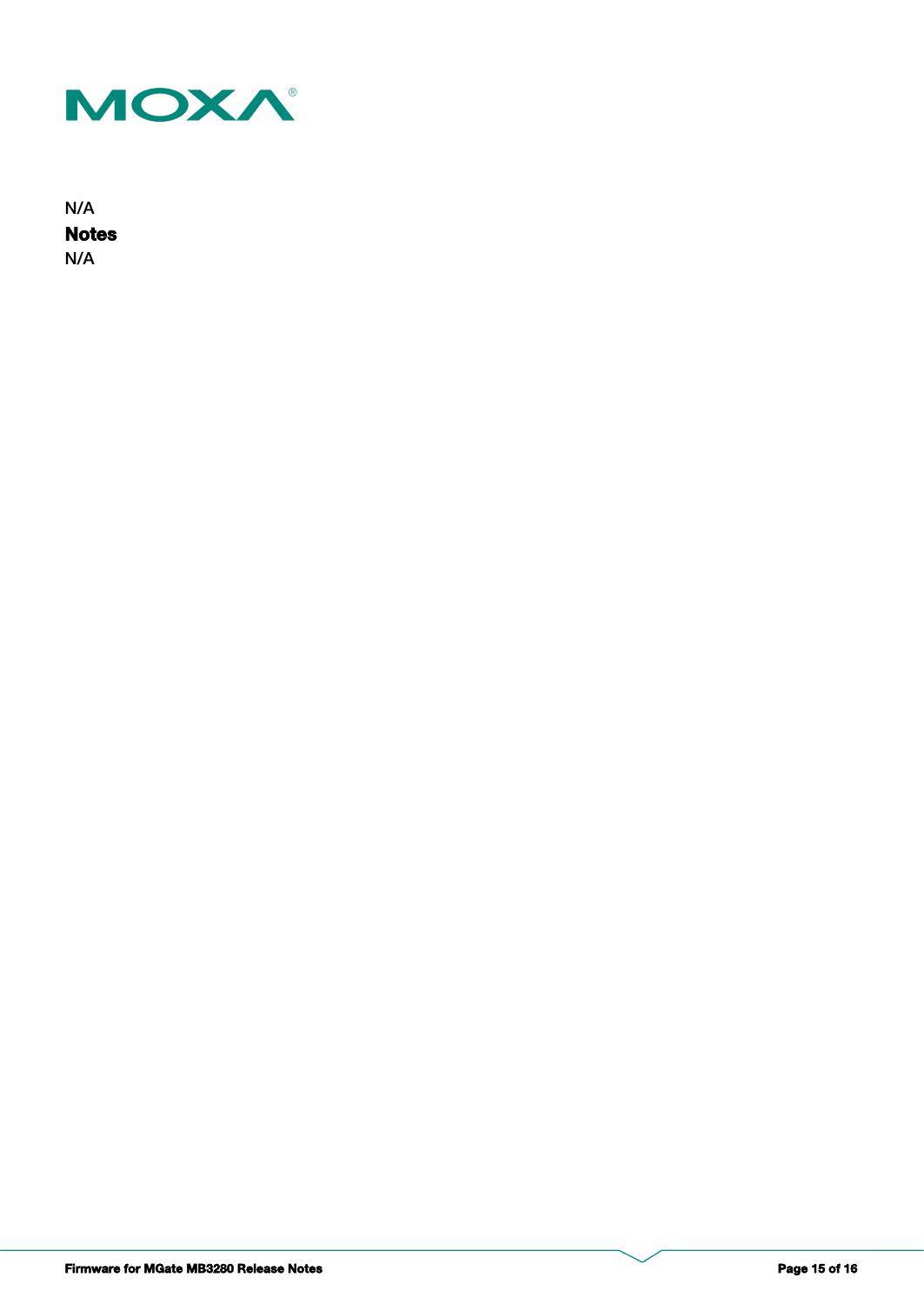

**Notes** N/A N/A